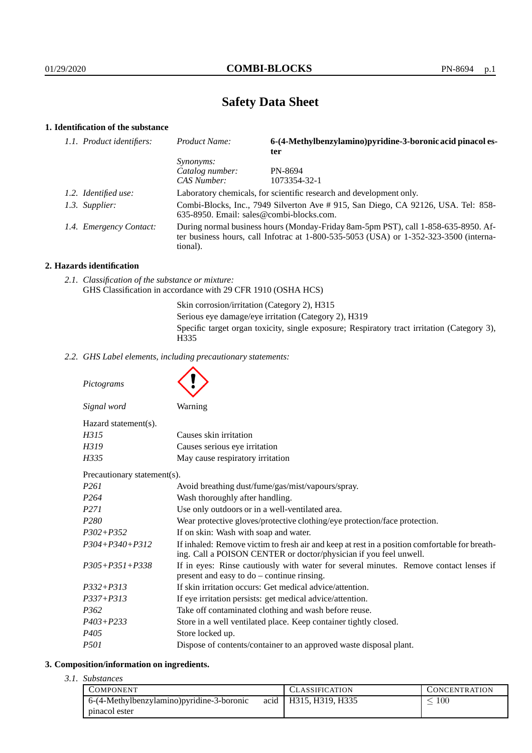# **Safety Data Sheet**

# **1. Identification of the substance**

| 1.1. Product identifiers: | Product Name:                                                                                                                                                                               | 6-(4-Methylbenzylamino)pyridine-3-boronic acid pinacol es-<br>ter |  |
|---------------------------|---------------------------------------------------------------------------------------------------------------------------------------------------------------------------------------------|-------------------------------------------------------------------|--|
|                           | <i>Synonyms:</i>                                                                                                                                                                            |                                                                   |  |
|                           | Catalog number:                                                                                                                                                                             | PN-8694                                                           |  |
|                           | CAS Number:                                                                                                                                                                                 | 1073354-32-1                                                      |  |
| 1.2. Identified use:      | Laboratory chemicals, for scientific research and development only.                                                                                                                         |                                                                   |  |
| 1.3. Supplier:            | Combi-Blocks, Inc., 7949 Silverton Ave # 915, San Diego, CA 92126, USA. Tel: 858-<br>635-8950. Email: sales@combi-blocks.com.                                                               |                                                                   |  |
| 1.4. Emergency Contact:   | During normal business hours (Monday-Friday 8am-5pm PST), call 1-858-635-8950. Af-<br>ter business hours, call Informac at $1-800-535-5053$ (USA) or $1-352-323-3500$ (interna-<br>tional). |                                                                   |  |

### **2. Hazards identification**

*2.1. Classification of the substance or mixture:* GHS Classification in accordance with 29 CFR 1910 (OSHA HCS)

Skin corrosion/irritation (Category 2), H315

Serious eye damage/eye irritation (Category 2), H319

Specific target organ toxicity, single exposure; Respiratory tract irritation (Category 3), H335

*2.2. GHS Label elements, including precautionary statements:*

*Pictograms Signal word* Warning Hazard statement(s). *H315* Causes skin irritation *H319* Causes serious eve irritation *H335* May cause respiratory irritation Precautionary statement(s). *P261* Avoid breathing dust/fume/gas/mist/vapours/spray. *P264* Wash thoroughly after handling. *P271* Use only outdoors or in a well-ventilated area. *P280* Wear protective gloves/protective clothing/eye protection/face protection. *P302+P352* If on skin: Wash with soap and water. *P304+P340+P312* If inhaled: Remove victim to fresh air and keep at rest in a position comfortable for breathing. Call a POISON CENTER or doctor/physician if you feel unwell. *P305+P351+P338* If in eyes: Rinse cautiously with water for several minutes. Remove contact lenses if present and easy to do – continue rinsing. *P332+P313* If skin irritation occurs: Get medical advice/attention.

- *P337+P313* If eye irritation persists: get medical advice/attention. *P362* Take off contaminated clothing and wash before reuse.
- *P403+P233* Store in a well ventilated place. Keep container tightly closed.
- *P405* Store locked up.
- *P501* Dispose of contents/container to an approved waste disposal plant.

# **3. Composition/information on ingredients.**

*3.1. Substances*

| COMPONENT                                  | <b>CLASSIFICATION</b> | <b>CONCENTRATION</b> |
|--------------------------------------------|-----------------------|----------------------|
| 6-(4-Methylbenzylamino) pyridine-3-boronic | acid H315, H319, H335 | 100                  |
| pinacol ester                              |                       |                      |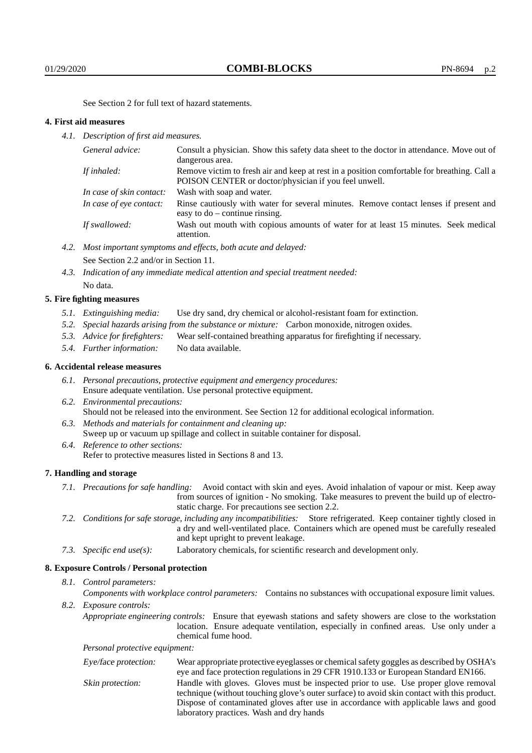See Section 2 for full text of hazard statements.

### **4. First aid measures**

*4.1. Description of first aid measures.*

| General advice:          | Consult a physician. Show this safety data sheet to the doctor in attendance. Move out of<br>dangerous area.                                         |
|--------------------------|------------------------------------------------------------------------------------------------------------------------------------------------------|
| If inhaled:              | Remove victim to fresh air and keep at rest in a position comfortable for breathing. Call a<br>POISON CENTER or doctor/physician if you feel unwell. |
| In case of skin contact: | Wash with soap and water.                                                                                                                            |
| In case of eye contact:  | Rinse cautiously with water for several minutes. Remove contact lenses if present and<br>easy to $do$ – continue rinsing.                            |
| If swallowed:            | Wash out mouth with copious amounts of water for at least 15 minutes. Seek medical<br>attention.                                                     |

- *4.2. Most important symptoms and effects, both acute and delayed:* See Section 2.2 and/or in Section 11.
- *4.3. Indication of any immediate medical attention and special treatment needed:* No data.

### **5. Fire fighting measures**

- *5.1. Extinguishing media:* Use dry sand, dry chemical or alcohol-resistant foam for extinction.
- *5.2. Special hazards arising from the substance or mixture:* Carbon monoxide, nitrogen oxides.
- *5.3. Advice for firefighters:* Wear self-contained breathing apparatus for firefighting if necessary.
- *5.4. Further information:* No data available.

# **6. Accidental release measures**

- *6.1. Personal precautions, protective equipment and emergency procedures:* Ensure adequate ventilation. Use personal protective equipment.
- *6.2. Environmental precautions:* Should not be released into the environment. See Section 12 for additional ecological information.
- *6.3. Methods and materials for containment and cleaning up:* Sweep up or vacuum up spillage and collect in suitable container for disposal. *6.4. Reference to other sections:*
	- Refer to protective measures listed in Sections 8 and 13.

### **7. Handling and storage**

- *7.1. Precautions for safe handling:* Avoid contact with skin and eyes. Avoid inhalation of vapour or mist. Keep away from sources of ignition - No smoking. Take measures to prevent the build up of electrostatic charge. For precautions see section 2.2.
- *7.2. Conditions for safe storage, including any incompatibilities:* Store refrigerated. Keep container tightly closed in a dry and well-ventilated place. Containers which are opened must be carefully resealed and kept upright to prevent leakage.
- *7.3. Specific end use(s):* Laboratory chemicals, for scientific research and development only.

### **8. Exposure Controls / Personal protection**

# *8.1. Control parameters:*

*Components with workplace control parameters:* Contains no substances with occupational exposure limit values. *8.2. Exposure controls:*

*Appropriate engineering controls:* Ensure that eyewash stations and safety showers are close to the workstation location. Ensure adequate ventilation, especially in confined areas. Use only under a chemical fume hood.

*Personal protective equipment:*

| Eye/face protection: | Wear appropriate protective eyeglasses or chemical safety goggles as described by OSHA's    |
|----------------------|---------------------------------------------------------------------------------------------|
|                      | eye and face protection regulations in 29 CFR 1910.133 or European Standard EN166.          |
| Skin protection:     | Handle with gloves. Gloves must be inspected prior to use. Use proper glove removal         |
|                      | technique (without touching glove's outer surface) to avoid skin contact with this product. |
|                      | Dispose of contaminated gloves after use in accordance with applicable laws and good        |
|                      | laboratory practices. Wash and dry hands                                                    |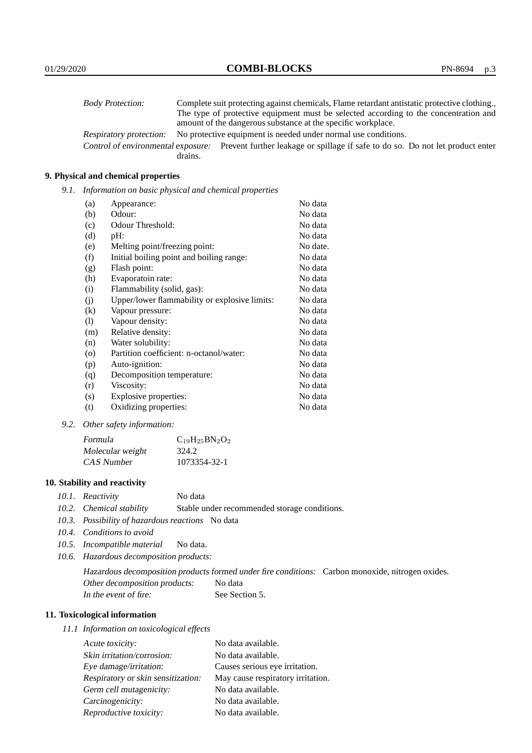| <b>Body Protection:</b> |         | Complete suit protecting against chemicals, Flame retardant antistatic protective clothing.                       |
|-------------------------|---------|-------------------------------------------------------------------------------------------------------------------|
|                         |         | The type of protective equipment must be selected according to the concentration and                              |
|                         |         | amount of the dangerous substance at the specific workplace.                                                      |
| Respiratory protection: |         | No protective equipment is needed under normal use conditions.                                                    |
|                         |         | Control of environmental exposure: Prevent further leakage or spillage if safe to do so. Do not let product enter |
|                         | drains. |                                                                                                                   |

# **9. Physical and chemical properties**

*9.1. Information on basic physical and chemical properties*

| (a)      | Appearance:                                   | No data  |
|----------|-----------------------------------------------|----------|
| (b)      | Odour:                                        | No data  |
| (c)      | Odour Threshold:                              | No data  |
| (d)      | pH:                                           | No data  |
| (e)      | Melting point/freezing point:                 | No date. |
| (f)      | Initial boiling point and boiling range:      | No data  |
| (g)      | Flash point:                                  | No data  |
| (h)      | Evaporatoin rate:                             | No data  |
| (i)      | Flammability (solid, gas):                    | No data  |
| (j)      | Upper/lower flammability or explosive limits: | No data  |
| $\rm(k)$ | Vapour pressure:                              | No data  |
| (1)      | Vapour density:                               | No data  |
| (m)      | Relative density:                             | No data  |
| (n)      | Water solubility:                             | No data  |
| $\circ$  | Partition coefficient: n-octanol/water:       | No data  |
| (p)      | Auto-ignition:                                | No data  |
| (q)      | Decomposition temperature:                    | No data  |
| (r)      | Viscosity:                                    | No data  |
| (s)      | Explosive properties:                         | No data  |
| (t)      | Oxidizing properties:                         | No data  |

*9.2. Other safety information:*

| Formula          | $C_{19}H_{25}BN_2O_2$ |
|------------------|-----------------------|
| Molecular weight | 324.2                 |
| CAS Number       | 1073354-32-1          |

# **10. Stability and reactivity**

- *10.1. Reactivity* No data
- *10.2. Chemical stability* Stable under recommended storage conditions.
- *10.3. Possibility of hazardous reactions* No data
- *10.4. Conditions to avoid*
- *10.5. Incompatible material* No data.
- *10.6. Hazardous decomposition products:*

Hazardous decomposition products formed under fire conditions: Carbon monoxide, nitrogen oxides. Other decomposition products: No data In the event of fire: See Section 5.

# **11. Toxicological information**

*11.1 Information on toxicological effects*

| Acute toxicity:                    | No data available.                |
|------------------------------------|-----------------------------------|
| Skin irritation/corrosion:         | No data available.                |
| Eye damage/irritation:             | Causes serious eye irritation.    |
| Respiratory or skin sensitization: | May cause respiratory irritation. |
| Germ cell mutagenicity:            | No data available.                |
| Carcinogenicity:                   | No data available.                |
| Reproductive toxicity:             | No data available.                |